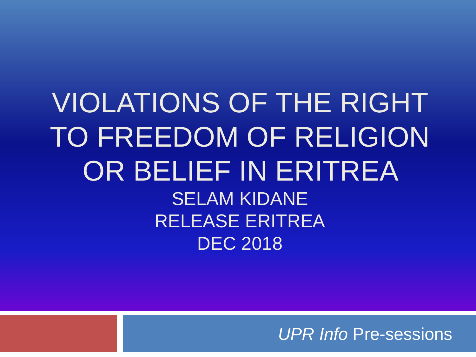VIOLATIONS OF THE RIGHT TO FREEDOM OF RELIGION OR BELIEF IN ERITREA SELAM KIDANE RELEASE ERITREA DEC 2018

*UPR Info* Pre-sessions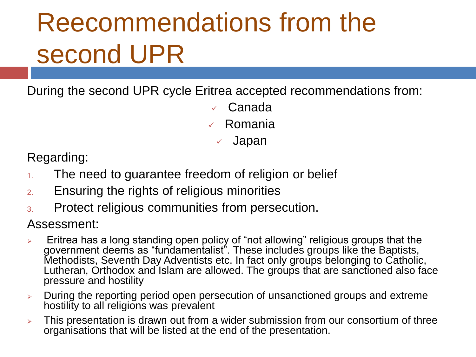## Reecommendations from the second UPR

During the second UPR cycle Eritrea accepted recommendations from:

✓ Canada ✓ Romania Japan

Regarding:

- 1. The need to guarantee freedom of religion or belief
- 2. Ensuring the rights of religious minorities
- 3. Protect religious communities from persecution.

Assessment:

- ➢ Eritrea has a long standing open policy of "not allowing" religious groups that the government deems as "fundamentalist". These includes groups like the Baptists, Methodists, Seventh Day Adventists etc. In fact only groups belonging to Catholic, Lutheran, Orthodox and Islam are allowed. The groups that are sanctioned also face pressure and hostility
- ➢ During the reporting period open persecution of unsanctioned groups and extreme hostility to all religions was prevalent
- ➢ This presentation is drawn out from a wider submission from our consortium of three organisations that will be listed at the end of the presentation.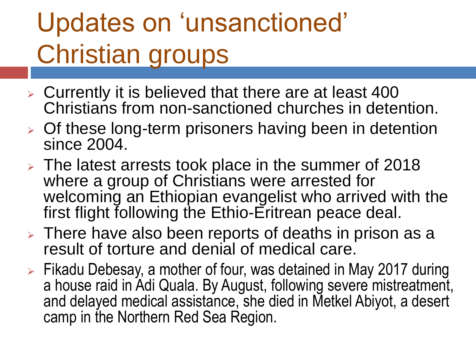## Updates on 'unsanctioned' Christian groups

- ➢ Currently it is believed that there are at least 400 Christians from non-sanctioned churches in detention.
- ➢ Of these long-term prisoners having been in detention since 2004.
- ➢ The latest arrests took place in the summer of 2018 where a group of Christians were arrested for welcoming an Ethiopian evangelist who arrived with the first flight following the Ethio-Eritrean peace deal.
- ➢ There have also been reports of deaths in prison as a result of torture and denial of medical care.
- ➢ Fikadu Debesay, a mother of four, was detained in May 2017 during a house raid in Adi Quala. By August, following severe mistreatment, and delayed medical assistance, she died in Metkel Abiyot, a desert camp in the Northern Red Sea Region.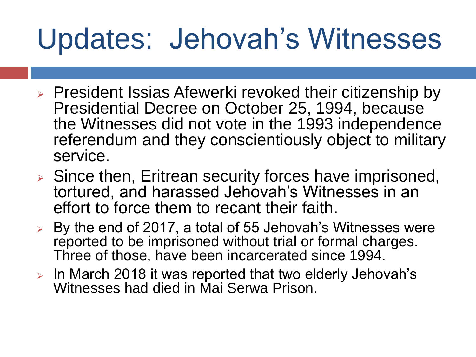## Updates: Jehovah's Witnesses

- ➢ President Issias Afewerki revoked their citizenship by Presidential Decree on October 25, 1994, because the Witnesses did not vote in the 1993 independence referendum and they conscientiously object to military service.
- ➢ Since then, Eritrean security forces have imprisoned, tortured, and harassed Jehovah's Witnesses in an effort to force them to recant their faith.
- ➢ By the end of 2017, a total of 55 Jehovah's Witnesses were reported to be imprisoned without trial or formal charges. Three of those, have been incarcerated since 1994.
- ➢ In March 2018 it was reported that two elderly Jehovah's Witnesses had died in Mai Serwa Prison.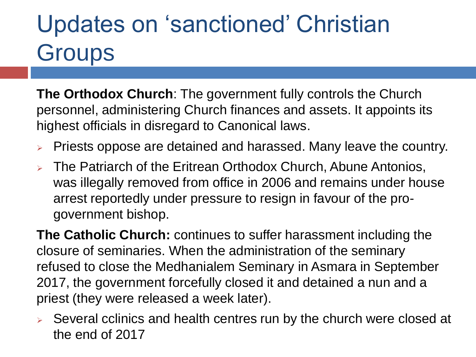### Updates on 'sanctioned' Christian **Groups**

**The Orthodox Church**: The government fully controls the Church personnel, administering Church finances and assets. It appoints its highest officials in disregard to Canonical laws.

- ➢ Priests oppose are detained and harassed. Many leave the country.
- ➢ The Patriarch of the Eritrean Orthodox Church, Abune Antonios, was illegally removed from office in 2006 and remains under house arrest reportedly under pressure to resign in favour of the progovernment bishop.

**The Catholic Church:** continues to suffer harassment including the closure of seminaries. When the administration of the seminary refused to close the Medhanialem Seminary in Asmara in September 2017, the government forcefully closed it and detained a nun and a priest (they were released a week later).

➢ Several cclinics and health centres run by the church were closed at the end of 2017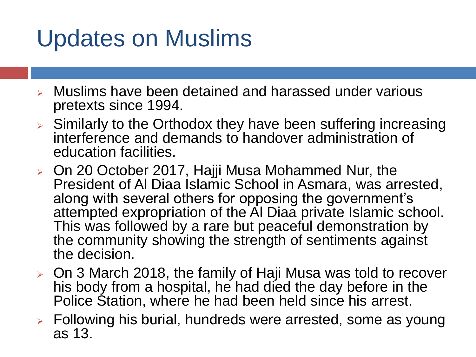#### Updates on Muslims

- ➢ Muslims have been detained and harassed under various pretexts since 1994.
- ➢ Similarly to the Orthodox they have been suffering increasing interference and demands to handover administration of education facilities.
- ➢ On 20 October 2017, Hajji Musa Mohammed Nur, the President of Al Diaa Islamic School in Asmara, was arrested, along with several others for opposing the government's attempted expropriation of the Al Diaa private Islamic school. This was followed by a rare but peaceful demonstration by the community showing the strength of sentiments against the decision.
- ➢ On 3 March 2018, the family of Haji Musa was told to recover his body from a hospital, he had died the day before in the Police Station, where he had been held since his arrest.
- ➢ Following his burial, hundreds were arrested, some as young as 13.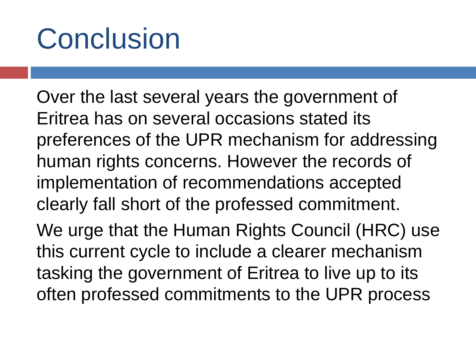## Conclusion

Over the last several years the government of Eritrea has on several occasions stated its preferences of the UPR mechanism for addressing human rights concerns. However the records of implementation of recommendations accepted clearly fall short of the professed commitment. We urge that the Human Rights Council (HRC) use

this current cycle to include a clearer mechanism tasking the government of Eritrea to live up to its often professed commitments to the UPR process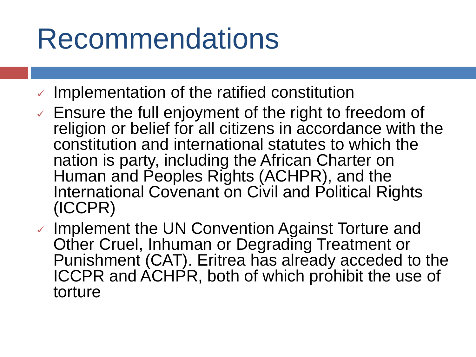## Recommendations

- $\vee$  Implementation of the ratified constitution
- $\checkmark$  Ensure the full enjoyment of the right to freedom of religion or belief for all citizens in accordance with the constitution and international statutes to which the nation is party, including the African Charter on Human and Peoples Rights (ACHPR), and the International Covenant on Civil and Political Rights (ICCPR)
- ✓ Implement the UN Convention Against Torture and Other Cruel, Inhuman or Degrading Treatment or Punishment (CAT). Eritrea has already acceded to the ICCPR and ACHPR, both of which prohibit the use of torture